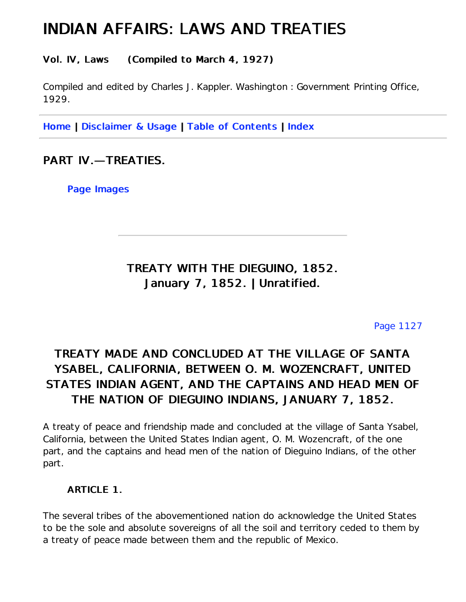# INDIAN AFFAIRS: LAWS AND TREATIES

#### Vol. IV, Laws (Compiled to March 4, 1927)

Compiled and edited by Charles J. Kappler. Washington : Government Printing Office, 1929.

Home | Disclaimer & Usage | Table of Contents | Index

## PART IV.—TREATIES.

**Page Images** 

# TREATY WITH THE DIEGUINO, 1852. January 7, 1852. | Unratified.

Page 1127

# TREATY MADE AND CONCLUDED AT THE VILLAGE OF SANTA TREATY MADE AND CONCLUDED AT THE VILLAGE OF SANTA YSABEL, CALIFORNIA, BETWEEN O. M. WOZENCRAFT, UNITED STATES INDIAN AGENT, AND THE CAPTAINS AND HEAD MEN OF THE NATION OF DIEGUINO INDIANS, JANUARY 7, 1852.

A treaty of peace and friendship made and concluded at the village of Santa Ysabel, California, between the United States Indian agent, O. M. Wozencraft, of the one part, and the captains and head men of the nation of Dieguino Indians, of the other part.

#### ARTICLE 1.

The several tribes of the abovementioned nation do acknowledge the United States to be the sole and absolute sovereigns of all the soil and territory ceded to them by a treaty of peace made between them and the republic of Mexico.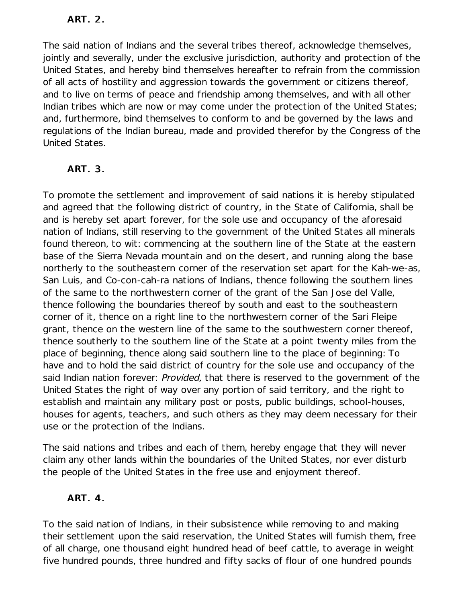#### **ART. 2.**

The said nation of Indians and the several tribes thereof, acknowledge themselves, jointly and severally, under the exclusive jurisdiction, authority and protection of the United States, and hereby bind themselves hereafter to refrain from the commission of all acts of hostility and aggression towards the government or citizens thereof, and to live on terms of peace and friendship among themselves, and with all other Indian tribes which are now or may come under the protection of the United States; and, furthermore, bind themselves to conform to and be governed by the laws and regulations of the Indian bureau, made and provided therefor by the Congress of the United States.

#### **ART. 3.**

To promote the settlement and improvement of said nations it is hereby stipulated and agreed that the following district of country, in the State of California, shall be and is hereby set apart forever, for the sole use and occupancy of the aforesaid nation of Indians, still reserving to the government of the United States all minerals found thereon, to wit: commencing at the southern line of the State at the eastern base of the Sierra Nevada mountain and on the desert, and running along the base northerly to the southeastern corner of the reservation set apart for the Kah-we-as, San Luis, and Co-con-cah-ra nations of Indians, thence following the southern lines of the same to the northwestern corner of the grant of the San Jose del Valle, thence following the boundaries thereof by south and east to the southeastern corner of it, thence on a right line to the northwestern corner of the Sari Fleipe grant, thence on the western line of the same to the southwestern corner thereof, thence southerly to the southern line of the State at a point twenty miles from the place of beginning, thence along said southern line to the place of beginning: To have and to hold the said district of country for the sole use and occupancy of the said Indian nation forever: Provided, that there is reserved to the government of the United States the right of way over any portion of said territory, and the right to establish and maintain any military post or posts, public buildings, school-houses, houses for agents, teachers, and such others as they may deem necessary for their use or the protection of the Indians.

The said nations and tribes and each of them, hereby engage that they will never claim any other lands within the boundaries of the United States, nor ever disturb the people of the United States in the free use and enjoyment thereof.

#### **ART. 4.**

To the said nation of Indians, in their subsistence while removing to and making their settlement upon the said reservation, the United States will furnish them, free of all charge, one thousand eight hundred head of beef cattle, to average in weight five hundred pounds, three hundred and fifty sacks of flour of one hundred pounds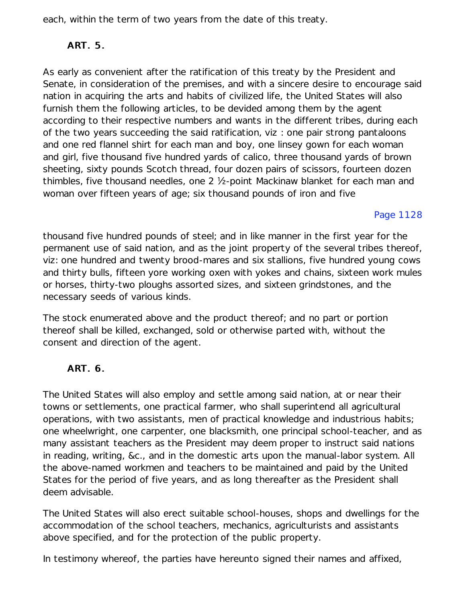each, within the term of two years from the date of this treaty.

### **ART. 5.**

As early as convenient after the ratification of this treaty by the President and Senate, in consideration of the premises, and with a sincere desire to encourage said nation in acquiring the arts and habits of civilized life, the United States will also furnish them the following articles, to be devided among them by the agent according to their respective numbers and wants in the different tribes, during each of the two years succeeding the said ratification, viz : one pair strong pantaloons and one red flannel shirt for each man and boy, one linsey gown for each woman and girl, five thousand five hundred yards of calico, three thousand yards of brown sheeting, sixty pounds Scotch thread, four dozen pairs of scissors, fourteen dozen thimbles, five thousand needles, one 2  $\frac{1}{2}$ -point Mackinaw blanket for each man and woman over fifteen years of age; six thousand pounds of iron and five

#### Page 1128

thousand five hundred pounds of steel; and in like manner in the first year for the permanent use of said nation, and as the joint property of the several tribes thereof, viz: one hundred and twenty brood-mares and six stallions, five hundred young cows and thirty bulls, fifteen yore working oxen with yokes and chains, sixteen work mules or horses, thirty-two ploughs assorted sizes, and sixteen grindstones, and the necessary seeds of various kinds.

The stock enumerated above and the product thereof; and no part or portion thereof shall be killed, exchanged, sold or otherwise parted with, without the consent and direction of the agent.

#### ART. 6.

The United States will also employ and settle among said nation, at or near their towns or settlements, one practical farmer, who shall superintend all agricultural operations, with two assistants, men of practical knowledge and industrious habits; one wheelwright, one carpenter, one blacksmith, one principal school-teacher, and as many assistant teachers as the President may deem proper to instruct said nations in reading, writing, &c., and in the domestic arts upon the manual-labor system. All the above-named workmen and teachers to be maintained and paid by the United States for the period of five years, and as long thereafter as the President shall deem advisable.

The United States will also erect suitable school-houses, shops and dwellings for the accommodation of the school teachers, mechanics, agriculturists and assistants above specified, and for the protection of the public property.

In testimony whereof, the parties have hereunto signed their names and affixed,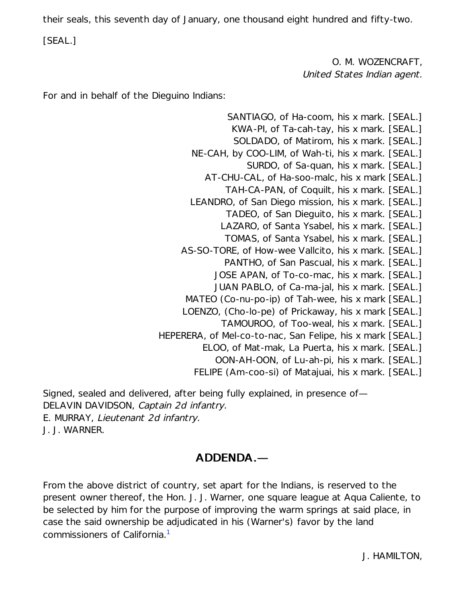their seals, this seventh day of January, one thousand eight hundred and fifty-two.

[SEAL.]

O. M. WOZENCRAFT, United States Indian agent.

For and in behalf of the Dieguino Indians:

- SANTIAGO, of Ha-coom, his x mark. [SEAL.] KWA-PI, of Ta-cah-tay, his x mark. [SEAL.] SOLDADO, of Matirom, his x mark. [SEAL.]
- NE-CAH, by COO-LIM, of Wah-ti, his x mark. [SEAL.]
	- SURDO, of Sa-quan, his x mark. [SEAL.]
	- AT-CHU-CAL, of Ha-soo-malc, his x mark [SEAL.]
		- TAH-CA-PAN, of Coquilt, his x mark. [SEAL.]
- LEANDRO, of San Diego mission, his x mark. [SEAL.]
	- TADEO, of San Dieguito, his x mark. [SEAL.]
	- LAZARO, of Santa Ysabel, his x mark. [SEAL.]
	- TOMAS, of Santa Ysabel, his x mark. [SEAL.]
- AS-SO-TORE, of How-wee Vallcito, his x mark. [SEAL.]
	- PANTHO, of San Pascual, his x mark. [SEAL.]
	- JOSE APAN, of To-co-mac, his x mark. [SEAL.]
	- JUAN PABLO, of Ca-ma-jal, his x mark. [SEAL.]
	- MATEO (Co-nu-po-ip) of Tah-wee, his x mark [SEAL.]
	- LOENZO, (Cho-lo-pe) of Prickaway, his x mark [SEAL.]
		- TAMOUROO, of Too-weal, his x mark. [SEAL.]
- HEPERERA, of Mel-co-to-nac, San Felipe, his x mark [SEAL.]
	- ELOO, of Mat-mak, La Puerta, his x mark. [SEAL.]
		- OON-AH-OON, of Lu-ah-pi, his x mark. [SEAL.]
	- FELIPE (Am-coo-si) of Matajuai, his x mark. [SEAL.]

Signed, sealed and delivered, after being fully explained, in presence of— DELAVIN DAVIDSON, Captain 2d infantry. E. MURRAY, Lieutenant 2d infantry.

J. J. WARNER.

#### ADDENDA.—

From the above district of country, set apart for the Indians, is reserved to the present owner thereof, the Hon. J. J. Warner, one square league at Aqua Caliente, to be selected by him for the purpose of improving the warm springs at said place, in case the said ownership be adjudicated in his (Warner's) favor by the land commissioners of California.<sup>1</sup>

J. HAMILTON,